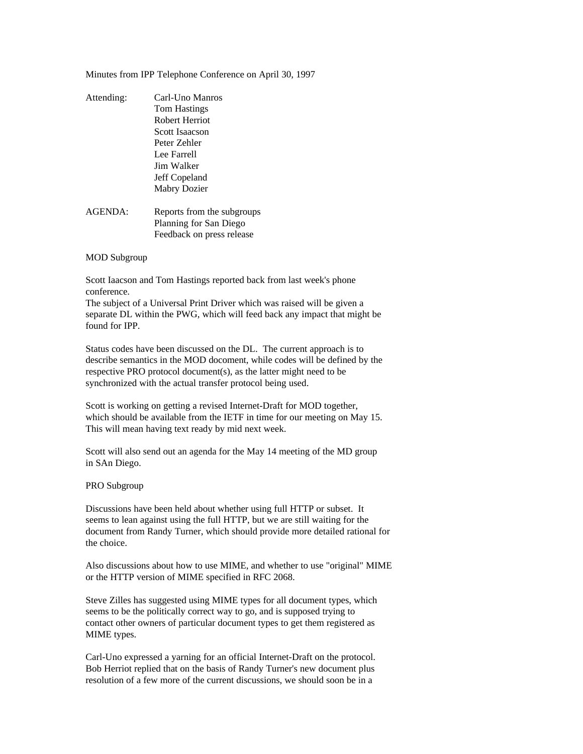Minutes from IPP Telephone Conference on April 30, 1997

| Attending: | Carl-Uno Manros            |
|------------|----------------------------|
|            | Tom Hastings               |
|            | Robert Herriot             |
|            | Scott Isaacson             |
|            | Peter Zehler               |
|            | Lee Farrell                |
|            | Jim Walker                 |
|            | Jeff Copeland              |
|            | Mabry Dozier               |
| AGENDA:    | Reports from the subgroups |
|            | Planning for San Diego     |
|            | Feedback on press release  |

## MOD Subgroup

Scott Iaacson and Tom Hastings reported back from last week's phone conference.

The subject of a Universal Print Driver which was raised will be given a separate DL within the PWG, which will feed back any impact that might be found for IPP.

Status codes have been discussed on the DL. The current approach is to describe semantics in the MOD docoment, while codes will be defined by the respective PRO protocol document(s), as the latter might need to be synchronized with the actual transfer protocol being used.

Scott is working on getting a revised Internet-Draft for MOD together, which should be available from the IETF in time for our meeting on May 15. This will mean having text ready by mid next week.

Scott will also send out an agenda for the May 14 meeting of the MD group in SAn Diego.

## PRO Subgroup

Discussions have been held about whether using full HTTP or subset. It seems to lean against using the full HTTP, but we are still waiting for the document from Randy Turner, which should provide more detailed rational for the choice.

Also discussions about how to use MIME, and whether to use "original" MIME or the HTTP version of MIME specified in RFC 2068.

Steve Zilles has suggested using MIME types for all document types, which seems to be the politically correct way to go, and is supposed trying to contact other owners of particular document types to get them registered as MIME types.

Carl-Uno expressed a yarning for an official Internet-Draft on the protocol. Bob Herriot replied that on the basis of Randy Turner's new document plus resolution of a few more of the current discussions, we should soon be in a